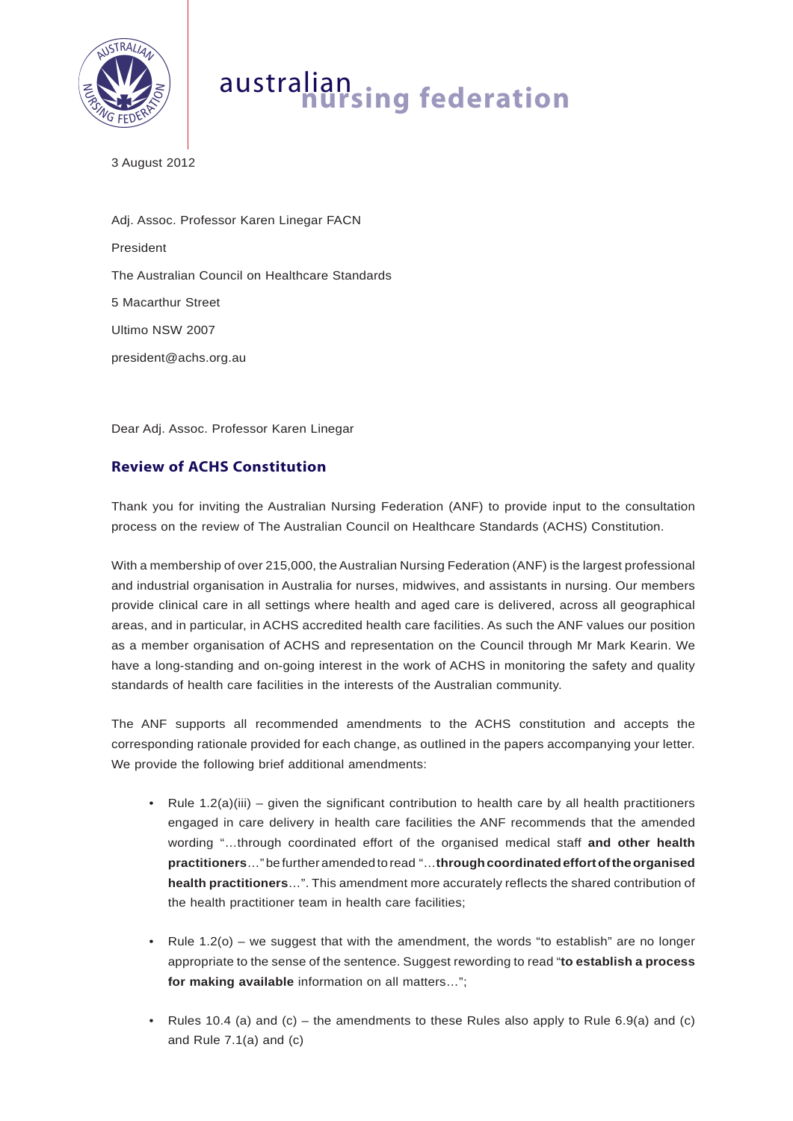

## australian **nursing federation**

3 August 2012

Adj. Assoc. Professor Karen Linegar FACN President The Australian Council on Healthcare Standards 5 Macarthur Street Ultimo NSW 2007 president@achs.org.au

Dear Adj. Assoc. Professor Karen Linegar

## **Review of ACHS Constitution**

Thank you for inviting the Australian Nursing Federation (ANF) to provide input to the consultation process on the review of The Australian Council on Healthcare Standards (ACHS) Constitution.

With a membership of over 215,000, the Australian Nursing Federation (ANF) is the largest professional and industrial organisation in Australia for nurses, midwives, and assistants in nursing. Our members provide clinical care in all settings where health and aged care is delivered, across all geographical areas, and in particular, in ACHS accredited health care facilities. As such the ANF values our position as a member organisation of ACHS and representation on the Council through Mr Mark Kearin. We have a long-standing and on-going interest in the work of ACHS in monitoring the safety and quality standards of health care facilities in the interests of the Australian community.

The ANF supports all recommended amendments to the ACHS constitution and accepts the corresponding rationale provided for each change, as outlined in the papers accompanying your letter. We provide the following brief additional amendments:

- Rule  $1.2(a)(iii)$  given the significant contribution to health care by all health practitioners engaged in care delivery in health care facilities the ANF recommends that the amended wording "…through coordinated effort of the organised medical staff **and other health practitioners**…" be further amended to read "…**through coordinated effort of the organised health practitioners**…". This amendment more accurately reflects the shared contribution of the health practitioner team in health care facilities;
- Rule  $1.2$ (o) we suggest that with the amendment, the words "to establish" are no longer appropriate to the sense of the sentence. Suggest rewording to read "**to establish a process for making available** information on all matters…";
- Rules 10.4 (a) and (c) the amendments to these Rules also apply to Rule 6.9(a) and (c) and Rule 7.1(a) and (c)